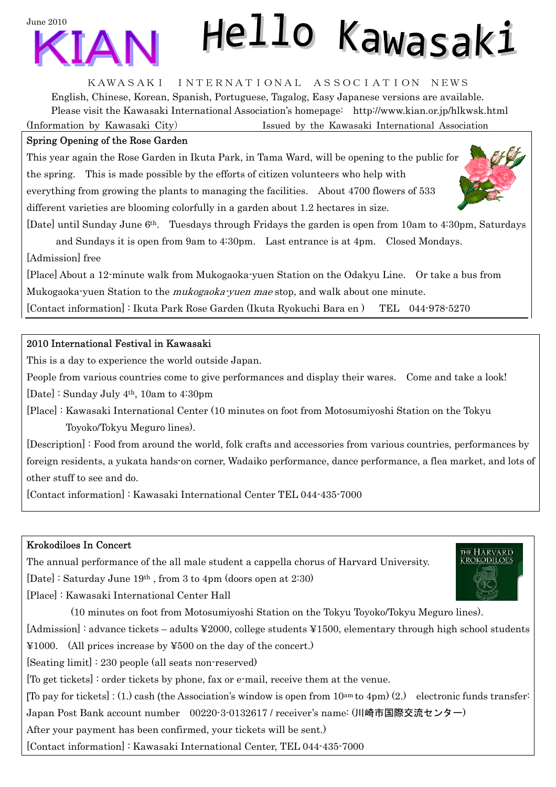



# Hello Kawasaki

KAWASAKI INTERNATIONAL ASSOCIATION NEWS

English, Chinese, Korean, Spanish, Portuguese, Tagalog, Easy Japanese versions are available. Please visit the Kawasaki International Association's homepage: <http://www.kian.or.jp/hlkwsk.html> (Information by Kawasaki City) Issued by the Kawasaki International Association

### Spring Opening of the Rose Garden

This year again the Rose Garden in Ikuta Park, in Tama Ward, will be opening to the public for the spring. This is made possible by the efforts of citizen volunteers who help with everything from growing the plants to managing the facilities. About 4700 flowers of 533 different varieties are blooming colorfully in a garden about 1.2 hectares in size.

[Date] until Sunday June 6th. Tuesdays through Fridays the garden is open from 10am to 4:30pm, Saturdays and Sundays it is open from 9am to 4:30pm. Last entrance is at 4pm. Closed Mondays. [Admission] free

[Place] About a 12-minute walk from Mukogaoka-yuen Station on the Odakyu Line. Or take a bus from Mukogaoka-yuen Station to the *mukogaoka-yuen mae* stop, and walk about one minute.

[Contact information] : Ikuta Park Rose Garden (Ikuta Ryokuchi Bara en ) TEL 044-978-5270

# 2010 International Festival in Kawasaki

This is a day to experience the world outside Japan.

People from various countries come to give performances and display their wares. Come and take a look!

[Date] : Sunday July 4th, 10am to 4:30pm

[Place] : Kawasaki International Center (10 minutes on foot from Motosumiyoshi Station on the Tokyu Toyoko/Tokyu Meguro lines).

[Description] : Food from around the world, folk crafts and accessories from various countries, performances by foreign residents, a yukata hands-on corner, Wadaiko performance, dance performance, a flea market, and lots of other stuff to see and do.

[Contact information] : Kawasaki International Center TEL 044-435-7000

# Krokodiloes In Concert

The annual performance of the all male student a cappella chorus of Harvard University. [Date] : Saturday June 19th , from 3 to 4pm (doors open at 2:30)

[Place] : Kawasaki International Center Hall

 (10 minutes on foot from Motosumiyoshi Station on the Tokyu Toyoko/Tokyu Meguro lines). [Admission] : advance tickets – adults ¥2000, college students ¥1500, elementary through high school students ¥1000. (All prices increase by ¥500 on the day of the concert.) [Seating limit] : 230 people (all seats non-reserved) [To get tickets] : order tickets by phone, fax or e-mail, receive them at the venue. [To pay for tickets] : (1.) cash (the Association's window is open from  $10^{am}$  to  $4pm$ ) (2.) electronic funds transfer: Japan Post Bank account number 00220-3-0132617 / receiver's name: (川崎市国際交流センター) After your payment has been confirmed, your tickets will be sent.) [Contact information] : Kawasaki International Center, TEL 044-435-7000